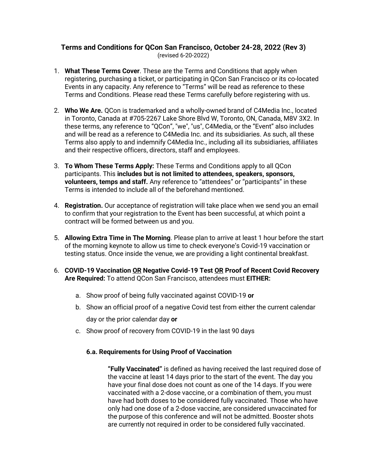## **Terms and Conditions for QCon San Francisco, October 24-28, 2022 (Rev 3)** (revised 6-20-2022)

- 1. **What These Terms Cover**. These are the Terms and Conditions that apply when registering, purchasing a ticket, or participating in QCon San Francisco or its co-located Events in any capacity. Any reference to "Terms" will be read as reference to these Terms and Conditions. Please read these Terms carefully before registering with us.
- 2. **Who We Are.** QCon is trademarked and a wholly-owned brand of C4Media Inc., located in Toronto, Canada at #705-2267 Lake Shore Blvd W, Toronto, ON, Canada, M8V 3X2. In these terms, any reference to "QCon", "we", "us", C4Media, or the "Event" also includes and will be read as a reference to C4Media Inc. and its subsidiaries. As such, all these Terms also apply to and indemnify C4Media Inc., including all its subsidiaries, affiliates and their respective officers, directors, staff and employees.
- 3. **To Whom These Terms Apply:** These Terms and Conditions apply to all QCon participants. This **includes but is not limited to attendees, speakers, sponsors, volunteers, temps and staff.** Any reference to "attendees" or "participants" in these Terms is intended to include all of the beforehand mentioned.
- 4. **Registration.** Our acceptance of registration will take place when we send you an email to confirm that your registration to the Event has been successful, at which point a contract will be formed between us and you.
- 5. **Allowing Extra Time in The Morning**. Please plan to arrive at least 1 hour before the start of the morning keynote to allow us time to check everyone's Covid-19 vaccination or testing status. Once inside the venue, we are providing a light continental breakfast.
- 6. **COVID-19 Vaccination OR Negative Covid-19 Test OR Proof of Recent Covid Recovery Are Required:** To attend QCon San Francisco, attendees must **EITHER:**
	- a. Show proof of being fully vaccinated against COVID-19 **or**
	- b. Show an official proof of a negative Covid test from either the current calendar day or the prior calendar day **or**
	- c. Show proof of recovery from COVID-19 in the last 90 days

## **6.a. Requirements for Using Proof of Vaccination**

**"Fully Vaccinated"** is defined as having received the last required dose of the vaccine at least 14 days prior to the start of the event. The day you have your final dose does not count as one of the 14 days. If you were vaccinated with a 2-dose vaccine, or a combination of them, you must have had both doses to be considered fully vaccinated. Those who have only had one dose of a 2-dose vaccine, are considered unvaccinated for the purpose of this conference and will not be admitted. Booster shots are currently not required in order to be considered fully vaccinated.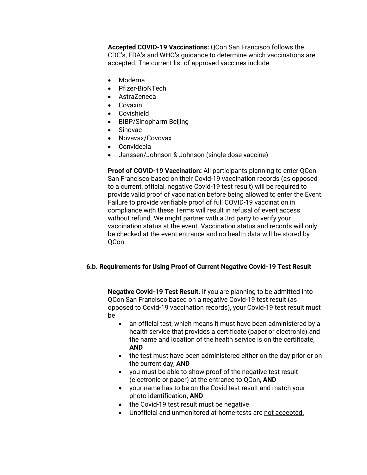**Accepted COVID-19 Vaccinations:** QCon San Francisco follows the CDC's, FDA's and WHO's guidance to determine which vaccinations are accepted. The current list of approved vaccines include:

- Moderna
- Pfizer-BioNTech
- AstraZeneca
- Covaxin
- Covishield
- BIBP/Sinopharm Beijing
- Sinovac
- Novavax/Covovax
- Convidecia
- Janssen/Johnson & Johnson (single dose vaccine)

**Proof of COVID-19 Vaccination:** All participants planning to enter QCon San Francisco based on their Covid-19 vaccination records (as opposed to a current, official, negative Covid-19 test result) will be required to provide valid proof of vaccination before being allowed to enter the Event. Failure to provide verifiable proof of full COVID-19 vaccination in compliance with these Terms will result in refusal of event access without refund. We might partner with a 3rd party to verify your vaccination status at the event. Vaccination status and records will only be checked at the event entrance and no health data will be stored by QCon.

## **6.b. Requirements for Using Proof of Current Negative Covid-19 Test Result**

**Negative Covid-19 Test Result.** If you are planning to be admitted into QCon San Francisco based on a negative Covid-19 test result (as opposed to Covid-19 vaccination records), your Covid-19 test result must be

- an official test, which means it must have been administered by a health service that provides a certificate (paper or electronic) and the name and location of the health service is on the certificate, **AND**
- the test must have been administered either on the day prior or on the current day, **AND**
- you must be able to show proof of the negative test result (electronic or paper) at the entrance to QCon, **AND**
- your name has to be on the Covid test result and match your photo identification**, AND**
- the Covid-19 test result must be negative.
- Unofficial and unmonitored at-home-tests are not accepted.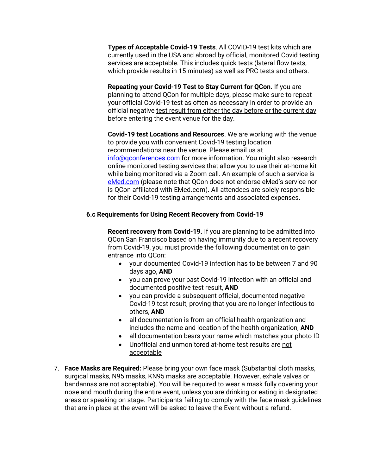**Types of Acceptable Covid-19 Tests**. All COVID-19 test kits which are currently used in the USA and abroad by official, monitored Covid testing services are acceptable. This includes quick tests (lateral flow tests, which provide results in 15 minutes) as well as PRC tests and others.

**Repeating your Covid-19 Test to Stay Current for QCon.** If you are planning to attend QCon for multiple days, please make sure to repeat your official Covid-19 test as often as necessary in order to provide an official negative test result from either the day before or the current day before entering the event venue for the day.

**Covid-19 test Locations and Resources**. We are working with the venue to provide you with convenient Covid-19 testing location recommendations near the venue. Please email us at [info@qconferences.com](mailto:info@qconsanfrancisco.com) for more information. You might also research online monitored testing services that allow you to use their at-home kit while being monitored via a Zoom call. An example of such a service is [eMed.com](https://www.emed.com/) (please note that QCon does not endorse eMed's service nor is QCon affiliated with EMed.com). All attendees are solely responsible for their Covid-19 testing arrangements and associated expenses.

## **6.c Requirements for Using Recent Recovery from Covid-19**

**Recent recovery from Covid-19.** If you are planning to be admitted into QCon San Francisco based on having immunity due to a recent recovery from Covid-19, you must provide the following documentation to gain entrance into QCon:

- your documented Covid-19 infection has to be between 7 and 90 days ago, **AND**
- you can prove your past Covid-19 infection with an official and documented positive test result, **AND**
- you can provide a subsequent official, documented negative Covid-19 test result, proving that you are no longer infectious to others, **AND**
- all documentation is from an official health organization and includes the name and location of the health organization, **AND**
- all documentation bears your name which matches your photo ID
- Unofficial and unmonitored at-home test results are not acceptable
- 7. **Face Masks are Required:** Please bring your own face mask (Substantial cloth masks, surgical masks, N95 masks, KN95 masks are acceptable. However, exhale valves or bandannas are not acceptable). You will be required to wear a mask fully covering your nose and mouth during the entire event, unless you are drinking or eating in designated areas or speaking on stage. Participants failing to comply with the face mask guidelines that are in place at the event will be asked to leave the Event without a refund.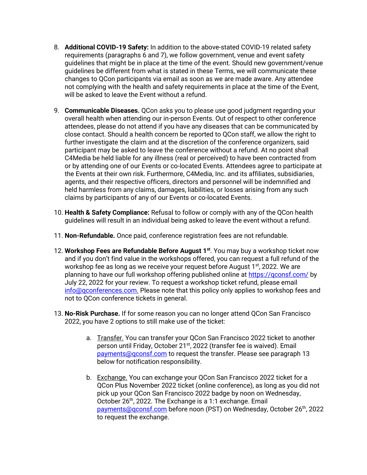- 8. **Additional COVID-19 Safety:** In addition to the above-stated COVID-19 related safety requirements (paragraphs 6 and 7), we follow government, venue and event safety guidelines that might be in place at the time of the event. Should new government/venue guidelines be different from what is stated in these Terms, we will communicate these changes to QCon participants via email as soon as we are made aware. Any attendee not complying with the health and safety requirements in place at the time of the Event, will be asked to leave the Event without a refund.
- 9. **Communicable Diseases.** QCon asks you to please use good judgment regarding your overall health when attending our in-person Events. Out of respect to other conference attendees, please do not attend if you have any diseases that can be communicated by close contact. Should a health concern be reported to QCon staff, we allow the right to further investigate the claim and at the discretion of the conference organizers, said participant may be asked to leave the conference without a refund. At no point shall C4Media be held liable for any illness (real or perceived) to have been contracted from or by attending one of our Events or co-located Events. Attendees agree to participate at the Events at their own risk. Furthermore, C4Media, Inc. and its affiliates, subsidiaries, agents, and their respective officers, directors and personnel will be indemnified and held harmless from any claims, damages, liabilities, or losses arising from any such claims by participants of any of our Events or co-located Events.
- 10. **Health & Safety Compliance:** Refusal to follow or comply with any of the QCon health guidelines will result in an individual being asked to leave the event without a refund.
- 11. **Non-Refundable.** Once paid, conference registration fees are not refundable.
- 12. **Workshop Fees are Refundable Before August 1st**. You may buy a workshop ticket now and if you don't find value in the workshops offered, you can request a full refund of the workshop fee as long as we receive your request before August  $1<sup>st</sup>$ , 2022. We are planning to have our full workshop offering published online at https://gconsf.com/ by July 22, 2022 for your review. To request a workshop ticket refund, please email <info@qconferences.com.> Please note that this policy only applies to workshop fees and not to QCon conference tickets in general.
- 13. **No-Risk Purchase.** If for some reason you can no longer attend QCon San Francisco 2022, you have 2 options to still make use of the ticket:
	- a. Transfer. You can transfer your QCon San Francisco 2022 ticket to another person until Friday, October 21<sup>st</sup>, 2022 (transfer fee is waived). Email [payments@qconsf.com](mailto:payments@qconsf.com) to request the transfer. Please see paragraph 13 below for notification responsibility.
	- b. Exchange. You can exchange your QCon San Francisco 2022 ticket for a QCon Plus November 2022 ticket (online conference), as long as you did not pick up your QCon San Francisco 2022 badge by noon on Wednesday, October 26<sup>th</sup>, 2022. The Exchange is a 1:1 exchange. Email [payments@qconsf.com](mailto:payments@qconsf.com) before noon (PST) on Wednesday, October 26<sup>th</sup>, 2022 to request the exchange.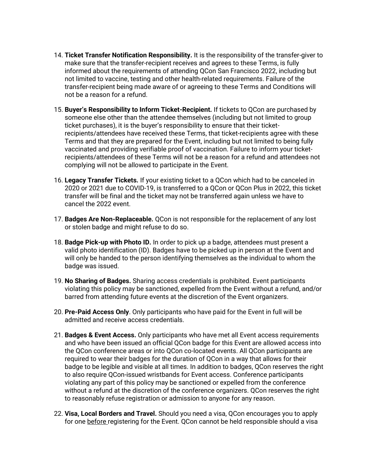- 14. **Ticket Transfer Notification Responsibility.** It is the responsibility of the transfer-giver to make sure that the transfer-recipient receives and agrees to these Terms, is fully informed about the requirements of attending QCon San Francisco 2022, including but not limited to vaccine, testing and other health-related requirements. Failure of the transfer-recipient being made aware of or agreeing to these Terms and Conditions will not be a reason for a refund.
- 15. **Buyer's Responsibility to Inform Ticket-Recipient.** If tickets to QCon are purchased by someone else other than the attendee themselves (including but not limited to group ticket purchases), it is the buyer's responsibility to ensure that their ticketrecipients/attendees have received these Terms, that ticket-recipients agree with these Terms and that they are prepared for the Event, including but not limited to being fully vaccinated and providing verifiable proof of vaccination. Failure to inform your ticketrecipients/attendees of these Terms will not be a reason for a refund and attendees not complying will not be allowed to participate in the Event.
- 16. **Legacy Transfer Tickets.** If your existing ticket to a QCon which had to be canceled in 2020 or 2021 due to COVID-19, is transferred to a QCon or QCon Plus in 2022, this ticket transfer will be final and the ticket may not be transferred again unless we have to cancel the 2022 event.
- 17. **Badges Are Non-Replaceable.** QCon is not responsible for the replacement of any lost or stolen badge and might refuse to do so.
- 18. **Badge Pick-up with Photo ID.** In order to pick up a badge, attendees must present a valid photo identification (ID). Badges have to be picked up in person at the Event and will only be handed to the person identifying themselves as the individual to whom the badge was issued.
- 19. **No Sharing of Badges.** Sharing access credentials is prohibited. Event participants violating this policy may be sanctioned, expelled from the Event without a refund, and/or barred from attending future events at the discretion of the Event organizers.
- 20. **Pre-Paid Access Only**. Only participants who have paid for the Event in full will be admitted and receive access credentials.
- 21. **Badges & Event Access.** Only participants who have met all Event access requirements and who have been issued an official QCon badge for this Event are allowed access into the QCon conference areas or into QCon co-located events. All QCon participants are required to wear their badges for the duration of QCon in a way that allows for their badge to be legible and visible at all times. In addition to badges, QCon reserves the right to also require QCon-issued wristbands for Event access. Conference participants violating any part of this policy may be sanctioned or expelled from the conference without a refund at the discretion of the conference organizers. QCon reserves the right to reasonably refuse registration or admission to anyone for any reason.
- 22. **Visa, Local Borders and Travel.** Should you need a visa, QCon encourages you to apply for one before registering for the Event. QCon cannot be held responsible should a visa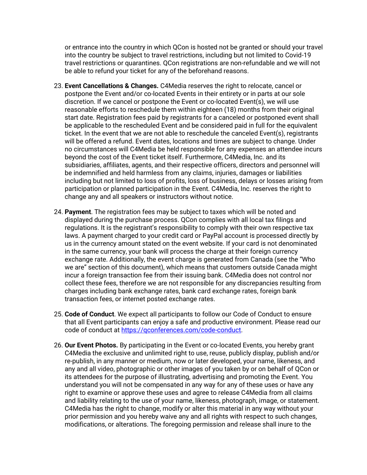or entrance into the country in which QCon is hosted not be granted or should your travel into the country be subject to travel restrictions, including but not limited to Covid-19 travel restrictions or quarantines. QCon registrations are non-refundable and we will not be able to refund your ticket for any of the beforehand reasons.

- 23. **Event Cancellations & Changes.** C4Media reserves the right to relocate, cancel or postpone the Event and/or co-located Events in their entirety or in parts at our sole discretion. If we cancel or postpone the Event or co-located Event(s), we will use reasonable efforts to reschedule them within eighteen (18) months from their original start date. Registration fees paid by registrants for a canceled or postponed event shall be applicable to the rescheduled Event and be considered paid in full for the equivalent ticket. In the event that we are not able to reschedule the canceled Event(s), registrants will be offered a refund. Event dates, locations and times are subject to change. Under no circumstances will C4Media be held responsible for any expenses an attendee incurs beyond the cost of the Event ticket itself. Furthermore, C4Media, Inc. and its subsidiaries, affiliates, agents, and their respective officers, directors and personnel will be indemnified and held harmless from any claims, injuries, damages or liabilities including but not limited to loss of profits, loss of business, delays or losses arising from participation or planned participation in the Event. C4Media, Inc. reserves the right to change any and all speakers or instructors without notice.
- 24. **Payment**. The registration fees may be subject to taxes which will be noted and displayed during the purchase process. QCon complies with all local tax filings and regulations. It is the registrant's responsibility to comply with their own respective tax laws. A payment charged to your credit card or PayPal account is processed directly by us in the currency amount stated on the event website. If your card is not denominated in the same currency, your bank will process the charge at their foreign currency exchange rate. Additionally, the event charge is generated from Canada (see the "Who we are" section of this document), which means that customers outside Canada might incur a foreign transaction fee from their issuing bank. C4Media does not control nor collect these fees, therefore we are not responsible for any discrepancies resulting from charges including bank exchange rates, bank card exchange rates, foreign bank transaction fees, or internet posted exchange rates.
- 25. **Code of Conduct**. We expect all participants to follow our Code of Conduct to ensure that all Event participants can enjoy a safe and productive environment. Please read our code of conduct at [https://qconferences.com/code-conduct.](https://qconferences.com/code-conduct)
- 26. **Our Event Photos.** By participating in the Event or co-located Events, you hereby grant C4Media the exclusive and unlimited right to use, reuse, publicly display, publish and/or re-publish, in any manner or medium, now or later developed, your name, likeness, and any and all video, photographic or other images of you taken by or on behalf of QCon or its attendees for the purpose of illustrating, advertising and promoting the Event. You understand you will not be compensated in any way for any of these uses or have any right to examine or approve these uses and agree to release C4Media from all claims and liability relating to the use of your name, likeness, photograph, image, or statement. C4Media has the right to change, modify or alter this material in any way without your prior permission and you hereby waive any and all rights with respect to such changes, modifications, or alterations. The foregoing permission and release shall inure to the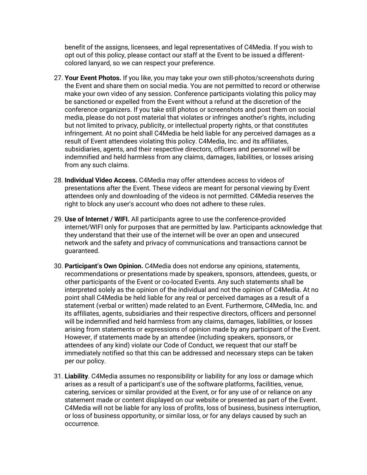benefit of the assigns, licensees, and legal representatives of C4Media. If you wish to opt out of this policy, please contact our staff at the Event to be issued a differentcolored lanyard, so we can respect your preference.

- 27. **Your Event Photos.** If you like, you may take your own still-photos/screenshots during the Event and share them on social media. You are not permitted to record or otherwise make your own video of any session. Conference participants violating this policy may be sanctioned or expelled from the Event without a refund at the discretion of the conference organizers. If you take still photos or screenshots and post them on social media, please do not post material that violates or infringes another's rights, including but not limited to privacy, publicity, or intellectual property rights, or that constitutes infringement. At no point shall C4Media be held liable for any perceived damages as a result of Event attendees violating this policy. C4Media, Inc. and its affiliates, subsidiaries, agents, and their respective directors, officers and personnel will be indemnified and held harmless from any claims, damages, liabilities, or losses arising from any such claims.
- 28. **Individual Video Access.** C4Media may offer attendees access to videos of presentations after the Event. These videos are meant for personal viewing by Event attendees only and downloading of the videos is not permitted. C4Media reserves the right to block any user's account who does not adhere to these rules.
- 29. **Use of Internet / WIFI.** All participants agree to use the conference-provided internet/WIFI only for purposes that are permitted by law. Participants acknowledge that they understand that their use of the internet will be over an open and unsecured network and the safety and privacy of communications and transactions cannot be guaranteed.
- 30. **Participant's Own Opinion.** C4Media does not endorse any opinions, statements, recommendations or presentations made by speakers, sponsors, attendees, guests, or other participants of the Event or co-located Events. Any such statements shall be interpreted solely as the opinion of the individual and not the opinion of C4Media. At no point shall C4Media be held liable for any real or perceived damages as a result of a statement (verbal or written) made related to an Event. Furthermore, C4Media, Inc. and its affiliates, agents, subsidiaries and their respective directors, officers and personnel will be indemnified and held harmless from any claims, damages, liabilities, or losses arising from statements or expressions of opinion made by any participant of the Event. However, if statements made by an attendee (including speakers, sponsors, or attendees of any kind) violate our Code of Conduct, we request that our staff be immediately notified so that this can be addressed and necessary steps can be taken per our policy.
- 31. **Liability**. C4Media assumes no responsibility or liability for any loss or damage which arises as a result of a participant's use of the software platforms, facilities, venue, catering, services or similar provided at the Event, or for any use of or reliance on any statement made or content displayed on our website or presented as part of the Event. C4Media will not be liable for any loss of profits, loss of business, business interruption, or loss of business opportunity, or similar loss, or for any delays caused by such an occurrence.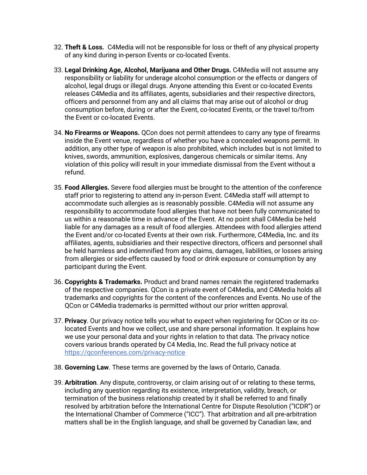- 32. **Theft & Loss.** C4Media will not be responsible for loss or theft of any physical property of any kind during in-person Events or co-located Events.
- 33. **Legal Drinking Age, Alcohol, Marijuana and Other Drugs.** C4Media will not assume any responsibility or liability for underage alcohol consumption or the effects or dangers of alcohol, legal drugs or illegal drugs. Anyone attending this Event or co-located Events releases C4Media and its affiliates, agents, subsidiaries and their respective directors, officers and personnel from any and all claims that may arise out of alcohol or drug consumption before, during or after the Event, co-located Events, or the travel to/from the Event or co-located Events.
- 34. **No Firearms or Weapons.** QCon does not permit attendees to carry any type of firearms inside the Event venue, regardless of whether you have a concealed weapons permit. In addition, any other type of weapon is also prohibited, which includes but is not limited to knives, swords, ammunition, explosives, dangerous chemicals or similar items. Any violation of this policy will result in your immediate dismissal from the Event without a refund.
- 35. **Food Allergies.** Severe food allergies must be brought to the attention of the conference staff prior to registering to attend any in-person Event. C4Media staff will attempt to accommodate such allergies as is reasonably possible. C4Media will not assume any responsibility to accommodate food allergies that have not been fully communicated to us within a reasonable time in advance of the Event. At no point shall C4Media be held liable for any damages as a result of food allergies. Attendees with food allergies attend the Event and/or co-located Events at their own risk. Furthermore, C4Media, Inc. and its affiliates, agents, subsidiaries and their respective directors, officers and personnel shall be held harmless and indemnified from any claims, damages, liabilities, or losses arising from allergies or side-effects caused by food or drink exposure or consumption by any participant during the Event.
- 36. **Copyrights & Trademarks.** Product and brand names remain the registered trademarks of the respective companies. QCon is a private event of C4Media, and C4Media holds all trademarks and copyrights for the content of the conferences and Events. No use of the QCon or C4Media trademarks is permitted without our prior written approval.
- 37. **Privacy**. Our privacy notice tells you what to expect when registering for QCon or its colocated Events and how we collect, use and share personal information. It explains how we use your personal data and your rights in relation to that data. The privacy notice covers various brands operated by C4 Media, Inc. Read the full privacy notice at <https://qconferences.com/privacy-notice>
- 38. **Governing Law**. These terms are governed by the laws of Ontario, Canada.
- 39. **Arbitration**. Any dispute, controversy, or claim arising out of or relating to these terms, including any question regarding its existence, interpretation, validity, breach, or termination of the business relationship created by it shall be referred to and finally resolved by arbitration before the International Centre for Dispute Resolution ("ICDR") or the International Chamber of Commerce ("ICC"). That arbitration and all pre-arbitration matters shall be in the English language, and shall be governed by Canadian law, and